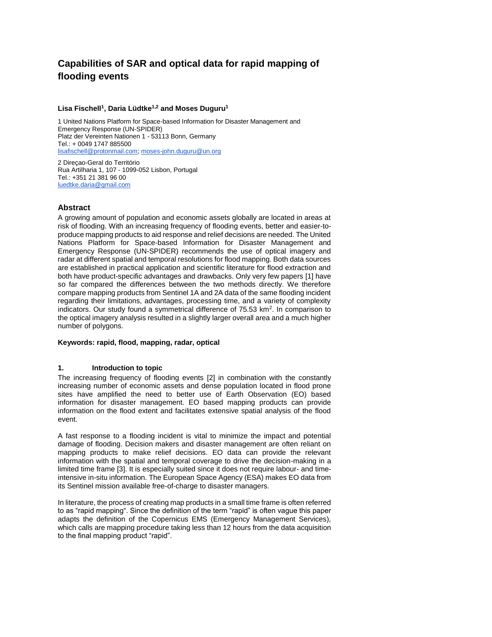# **Capabilities of SAR and optical data for rapid mapping of flooding events**

#### **Lisa Fischell<sup>1</sup> , Daria Lüdtke1,2 and Moses Duguru<sup>1</sup>**

1 United Nations Platform for Space-based Information for Disaster Management and Emergency Response (UN-SPIDER) Platz der Vereinten Nationen 1 - 53113 Bonn, Germany Tel.: + 0049 1747 885500 [lisafischell@protonmail.com;](mailto:lisafischell@protonmail.com) [moses-john.duguru@un.org](mailto:moses-john.duguru@un.org)

2 Direçao-Geral do Território Rua Artilharia 1, 107 - 1099-052 Lisbon, Portugal Tel.: +351 21 381 96 00 [luedtke.daria@gmail.com](mailto:luedtke.daria@gmail.com)

## **Abstract**

A growing amount of population and economic assets globally are located in areas at risk of flooding. With an increasing frequency of flooding events, better and easier-toproduce mapping products to aid response and relief decisions are needed. The United Nations Platform for Space-based Information for Disaster Management and Emergency Response (UN-SPIDER) recommends the use of optical imagery and radar at different spatial and temporal resolutions for flood mapping. Both data sources are established in practical application and scientific literature for flood extraction and both have product-specific advantages and drawbacks. Only very few papers [1] have so far compared the differences between the two methods directly. We therefore compare mapping products from Sentinel 1A and 2A data of the same flooding incident regarding their limitations, advantages, processing time, and a variety of complexity indicators. Our study found a symmetrical difference of  $75.53 \text{ km}^2$ . In comparison to the optical imagery analysis resulted in a slightly larger overall area and a much higher number of polygons.

#### **Keywords: rapid, flood, mapping, radar, optical**

#### **1. Introduction to topic**

The increasing frequency of flooding events [2] in combination with the constantly increasing number of economic assets and dense population located in flood prone sites have amplified the need to better use of Earth Observation (EO) based information for disaster management. EO based mapping products can provide information on the flood extent and facilitates extensive spatial analysis of the flood event.

A fast response to a flooding incident is vital to minimize the impact and potential damage of flooding. Decision makers and disaster management are often reliant on mapping products to make relief decisions. EO data can provide the relevant information with the spatial and temporal coverage to drive the decision-making in a limited time frame [3]. It is especially suited since it does not require labour- and timeintensive in-situ information. The European Space Agency (ESA) makes EO data from its Sentinel mission available free-of-charge to disaster managers.

In literature, the process of creating map products in a small time frame is often referred to as "rapid mapping". Since the definition of the term "rapid" is often vague this paper adapts the definition of the Copernicus EMS (Emergency Management Services), which calls are mapping procedure taking less than 12 hours from the data acquisition to the final mapping product "rapid".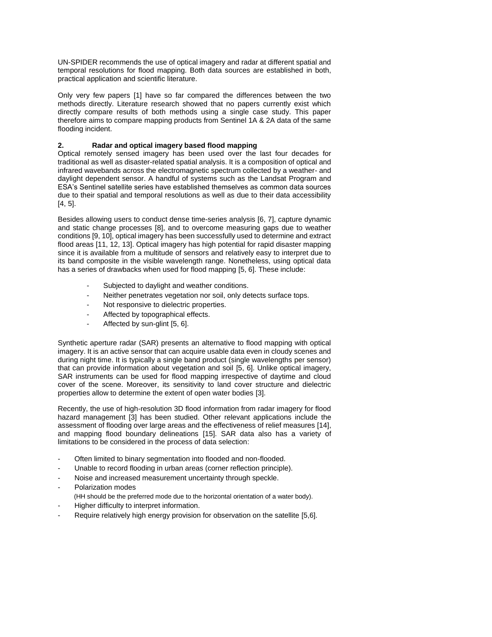UN-SPIDER recommends the use of optical imagery and radar at different spatial and temporal resolutions for flood mapping. Both data sources are established in both, practical application and scientific literature.

Only very few papers [1] have so far compared the differences between the two methods directly. Literature research showed that no papers currently exist which directly compare results of both methods using a single case study. This paper therefore aims to compare mapping products from Sentinel 1A & 2A data of the same flooding incident.

## **2. Radar and optical imagery based flood mapping**

Optical remotely sensed imagery has been used over the last four decades for traditional as well as disaster-related spatial analysis. It is a composition of optical and infrared wavebands across the electromagnetic spectrum collected by a weather- and daylight dependent sensor. A handful of systems such as the Landsat Program and ESA's Sentinel satellite series have established themselves as common data sources due to their spatial and temporal resolutions as well as due to their data accessibility [4, 5].

Besides allowing users to conduct dense time-series analysis [6, 7], capture dynamic and static change processes [8], and to overcome measuring gaps due to weather conditions [9, 10], optical imagery has been successfully used to determine and extract flood areas [11, 12, 13]. Optical imagery has high potential for rapid disaster mapping since it is available from a multitude of sensors and relatively easy to interpret due to its band composite in the visible wavelength range. Nonetheless, using optical data has a series of drawbacks when used for flood mapping [5, 6]. These include:

- Subjected to daylight and weather conditions.
- Neither penetrates vegetation nor soil, only detects surface tops.
- Not responsive to dielectric properties.
- Affected by topographical effects.
- Affected by sun-glint [5, 6].

Synthetic aperture radar (SAR) presents an alternative to flood mapping with optical imagery. It is an active sensor that can acquire usable data even in cloudy scenes and during night time. It is typically a single band product (single wavelengths per sensor) that can provide information about vegetation and soil [5, 6]. Unlike optical imagery, SAR instruments can be used for flood mapping irrespective of daytime and cloud cover of the scene. Moreover, its sensitivity to land cover structure and dielectric properties allow to determine the extent of open water bodies [3].

Recently, the use of high-resolution 3D flood information from radar imagery for flood hazard management [3] has been studied. Other relevant applications include the assessment of flooding over large areas and the effectiveness of relief measures [14], and mapping flood boundary delineations [15]. SAR data also has a variety of limitations to be considered in the process of data selection:

- Often limited to binary segmentation into flooded and non-flooded.
- Unable to record flooding in urban areas (corner reflection principle).
- Noise and increased measurement uncertainty through speckle.
- Polarization modes (HH should be the preferred mode due to the horizontal orientation of a water body).
- Higher difficulty to interpret information.
- Require relatively high energy provision for observation on the satellite [5,6].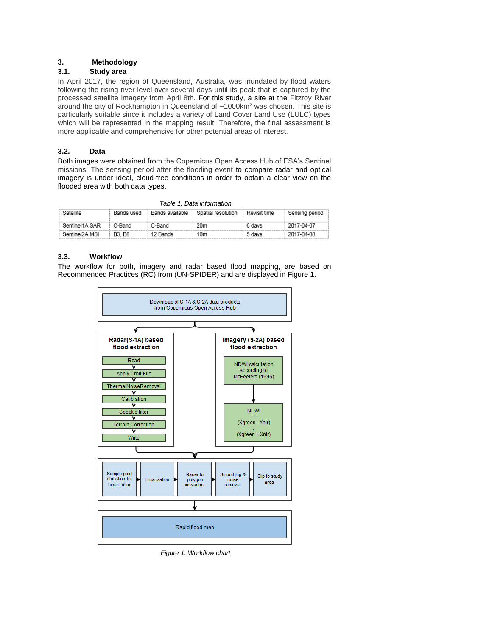# **3. Methodology**

## **3.1. Study area**

In April 2017, the region of Queensland, Australia, was inundated by flood waters following the rising river level over several days until its peak that is captured by the processed satellite imagery from April 8th. For this study, a site at the Fitzroy River around the city of Rockhampton in Queensland of ~1000km<sup>2</sup> was chosen. This site is particularly suitable since it includes a variety of Land Cover Land Use (LULC) types which will be represented in the mapping result. Therefore, the final assessment is more applicable and comprehensive for other potential areas of interest.

# **3.2. Data**

Both images were obtained from the Copernicus Open Access Hub of ESA's Sentinel missions. The sensing period after the flooding event to compare radar and optical imagery is under ideal, cloud-free conditions in order to obtain a clear view on the flooded area with both data types.

| , амь т. еаш топташоп |              |                 |                    |              |                |
|-----------------------|--------------|-----------------|--------------------|--------------|----------------|
| Satellite             | Bands used   | Bands available | Spatial resolution | Revisit time | Sensing period |
| Sentinel1A SAR        | C-Band       | C-Band          | 20m                | 6 davs       | 2017-04-07     |
| Sentinel2A MSI        | <b>B3.B8</b> | 12 Bands        | 10m                | 5 davs       | 2017-04-08     |

*Table 1. Data information* 

## **3.3. Workflow**

The workflow for both, imagery and radar based flood mapping, are based on Recommended Practices (RC) from (UN-SPIDER) and are displayed in Figure 1.



*Figure 1. Workflow chart*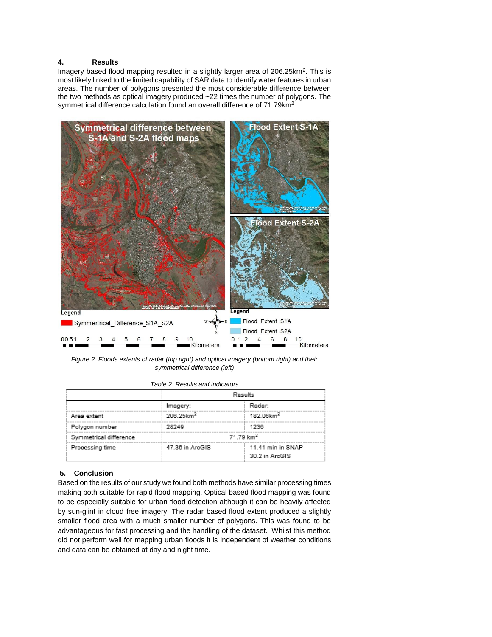## **4. Results**

Imagery based flood mapping resulted in a slightly larger area of 206.25km<sup>2</sup>. This is most likely linked to the limited capability of SAR data to identify water features in urban areas. The number of polygons presented the most considerable difference between the two methods as optical imagery produced ~22 times the number of polygons. The symmetrical difference calculation found an overall difference of 71.79km<sup>2</sup>.



*Figure 2. Floods extents of radar (top right) and optical imagery (bottom right) and their symmetrical difference (left)* 

|                        |                       | Results                             |  |  |
|------------------------|-----------------------|-------------------------------------|--|--|
|                        | Imagery:              | Radar:                              |  |  |
| Area extent            | 206.25km <sup>2</sup> | 182.06km <sup>2</sup>               |  |  |
| Polygon number         | 28249                 | 1236                                |  |  |
| Symmetrical difference |                       | 71.79 km <sup>2</sup>               |  |  |
| Processing time        | 47.36 in ArcGIS       | 11.41 min in SNAP<br>30.2 in ArcGIS |  |  |

*Table 2. Results and indicators*

#### **5. Conclusion**

Based on the results of our study we found both methods have similar processing times making both suitable for rapid flood mapping. Optical based flood mapping was found to be especially suitable for urban flood detection although it can be heavily affected by sun-glint in cloud free imagery. The radar based flood extent produced a slightly smaller flood area with a much smaller number of polygons. This was found to be advantageous for fast processing and the handling of the dataset. Whilst this method did not perform well for mapping urban floods it is independent of weather conditions and data can be obtained at day and night time.